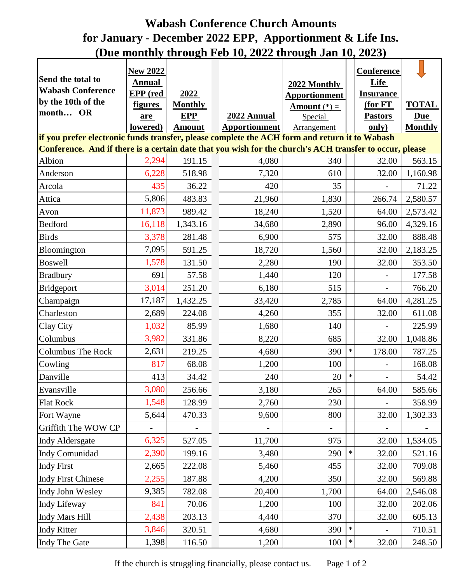## **Wabash Conference Church Amounts for January - December 2022 EPP, Apportionment & Life Ins. (Due monthly through Feb 10, 2022 through Jan 10, 2023)**

| Send the total to                                                                                                                                                                                        | <b>New 2022</b><br><b>Annual</b> |                |                      | 2022 Monthly         |        | Conference<br>Life       |                |  |  |  |  |  |
|----------------------------------------------------------------------------------------------------------------------------------------------------------------------------------------------------------|----------------------------------|----------------|----------------------|----------------------|--------|--------------------------|----------------|--|--|--|--|--|
| <b>Wabash Conference</b>                                                                                                                                                                                 | EPP (red                         | 2022           |                      | <b>Apportionment</b> |        | <b>Insurance</b>         |                |  |  |  |  |  |
| by the 10th of the                                                                                                                                                                                       | <b>figures</b>                   | <b>Monthly</b> |                      | Amount $(*)$ =       |        | $(for FT)$               | <b>TOTAL</b>   |  |  |  |  |  |
| month OR                                                                                                                                                                                                 | are                              | <b>EPP</b>     | 2022 Annual          | Special              |        | <b>Pastors</b>           | <b>Due</b>     |  |  |  |  |  |
|                                                                                                                                                                                                          | lowered)                         | <b>Amount</b>  | <b>Apportionment</b> | Arrangement          |        | $\overline{\text{only}}$ | <b>Monthly</b> |  |  |  |  |  |
| if you prefer electronic funds transfer, please complete the ACH form and return it to Wabash<br>Conference. And if there is a certain date that you wish for the church's ACH transfer to occur, please |                                  |                |                      |                      |        |                          |                |  |  |  |  |  |
|                                                                                                                                                                                                          |                                  |                |                      |                      |        |                          |                |  |  |  |  |  |
| Albion                                                                                                                                                                                                   | 2,294                            | 191.15         | 4,080                | 340                  |        | 32.00                    | 563.15         |  |  |  |  |  |
| Anderson                                                                                                                                                                                                 | 6,228                            | 518.98         | 7,320                | 610                  |        | 32.00                    | 1,160.98       |  |  |  |  |  |
| Arcola                                                                                                                                                                                                   | 435                              | 36.22          | 420                  | 35                   |        |                          | 71.22          |  |  |  |  |  |
| Attica                                                                                                                                                                                                   | 5,806                            | 483.83         | 21,960               | 1,830                |        | 266.74                   | 2,580.57       |  |  |  |  |  |
| Avon                                                                                                                                                                                                     | 11,873                           | 989.42         | 18,240               | 1,520                |        | 64.00                    | 2,573.42       |  |  |  |  |  |
| <b>Bedford</b>                                                                                                                                                                                           | 16,118                           | 1,343.16       | 34,680               | 2,890                |        | 96.00                    | 4,329.16       |  |  |  |  |  |
| <b>Birds</b>                                                                                                                                                                                             | 3,378                            | 281.48         | 6,900                | 575                  |        | 32.00                    | 888.48         |  |  |  |  |  |
| Bloomington                                                                                                                                                                                              | 7,095                            | 591.25         | 18,720               | 1,560                |        | 32.00                    | 2,183.25       |  |  |  |  |  |
| <b>Boswell</b>                                                                                                                                                                                           | 1,578                            | 131.50         | 2,280                | 190                  |        | 32.00                    | 353.50         |  |  |  |  |  |
| <b>Bradbury</b>                                                                                                                                                                                          | 691                              | 57.58          | 1,440                | 120                  |        |                          | 177.58         |  |  |  |  |  |
| <b>Bridgeport</b>                                                                                                                                                                                        | 3,014                            | 251.20         | 6,180                | 515                  |        |                          | 766.20         |  |  |  |  |  |
| Champaign                                                                                                                                                                                                | 17,187                           | 1,432.25       | 33,420               | 2,785                |        | 64.00                    | 4,281.25       |  |  |  |  |  |
| Charleston                                                                                                                                                                                               | 2,689                            | 224.08         | 4,260                | 355                  |        | 32.00                    | 611.08         |  |  |  |  |  |
| Clay City                                                                                                                                                                                                | 1,032                            | 85.99          | 1,680                | 140                  |        |                          | 225.99         |  |  |  |  |  |
| Columbus                                                                                                                                                                                                 | 3,982                            | 331.86         | 8,220                | 685                  |        | 32.00                    | 1,048.86       |  |  |  |  |  |
| <b>Columbus The Rock</b>                                                                                                                                                                                 | 2,631                            | 219.25         | 4,680                | 390                  | $\ast$ | 178.00                   | 787.25         |  |  |  |  |  |
| Cowling                                                                                                                                                                                                  | 817                              | 68.08          | 1,200                | 100                  |        |                          | 168.08         |  |  |  |  |  |
| Danville                                                                                                                                                                                                 | 413                              | 34.42          | 240                  | 20                   | $\ast$ |                          | 54.42          |  |  |  |  |  |
| Evansville                                                                                                                                                                                               | 3,080                            | 256.66         | 3,180                | 265                  |        | 64.00                    | 585.66         |  |  |  |  |  |
| <b>Flat Rock</b>                                                                                                                                                                                         | 1,548                            | 128.99         | 2,760                | 230                  |        |                          | 358.99         |  |  |  |  |  |
| Fort Wayne                                                                                                                                                                                               | 5,644                            | 470.33         | 9,600                | 800                  |        | 32.00                    | 1,302.33       |  |  |  |  |  |
| Griffith The WOW CP                                                                                                                                                                                      |                                  |                |                      |                      |        |                          |                |  |  |  |  |  |
| <b>Indy Aldersgate</b>                                                                                                                                                                                   | 6,325                            | 527.05         | 11,700               | 975                  |        | 32.00                    | 1,534.05       |  |  |  |  |  |
| Indy Comunidad                                                                                                                                                                                           | 2,390                            | 199.16         | 3,480                | 290                  | $\ast$ | 32.00                    | 521.16         |  |  |  |  |  |
| <b>Indy First</b>                                                                                                                                                                                        | 2,665                            | 222.08         | 5,460                | 455                  |        | 32.00                    | 709.08         |  |  |  |  |  |
| <b>Indy First Chinese</b>                                                                                                                                                                                | 2,255                            | 187.88         | 4,200                | 350                  |        | 32.00                    | 569.88         |  |  |  |  |  |
| Indy John Wesley                                                                                                                                                                                         | 9,385                            | 782.08         | 20,400               | 1,700                |        | 64.00                    | 2,546.08       |  |  |  |  |  |
| <b>Indy Lifeway</b>                                                                                                                                                                                      | 841                              | 70.06          | 1,200                | 100                  |        | 32.00                    | 202.06         |  |  |  |  |  |
| <b>Indy Mars Hill</b>                                                                                                                                                                                    | 2,438                            | 203.13         | 4,440                | 370                  |        | 32.00                    | 605.13         |  |  |  |  |  |
| <b>Indy Ritter</b>                                                                                                                                                                                       | 3,846                            | 320.51         | 4,680                | 390                  | $\ast$ |                          | 710.51         |  |  |  |  |  |
| Indy The Gate                                                                                                                                                                                            | 1,398                            | 116.50         | 1,200                | 100                  | $\ast$ | 32.00                    | 248.50         |  |  |  |  |  |

If the church is struggling financially, please contact us. Page 1 of 2